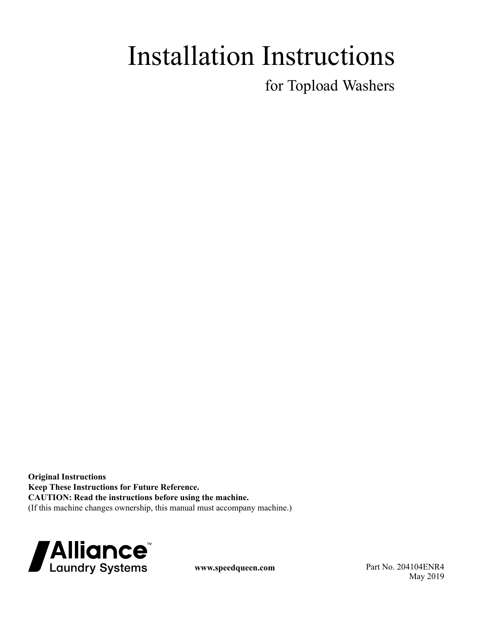# Installation Instructions

for Topload Washers

**Original Instructions Keep These Instructions for Future Reference. CAUTION: Read the instructions before using the machine.** (If this machine changes ownership, this manual must accompany machine.)



**www.speedqueen.com** Part No. 204104ENR4 May 2019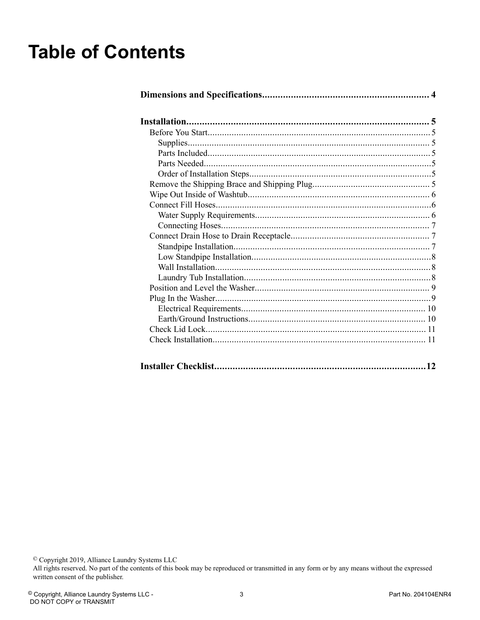## **Table of Contents**

<sup>©</sup> Copyright 2019, Alliance Laundry Systems LLC<br>All rights reserved. No part of the contents of this book may be reproduced or transmitted in any form or by any means without the expressed written consent of the publisher.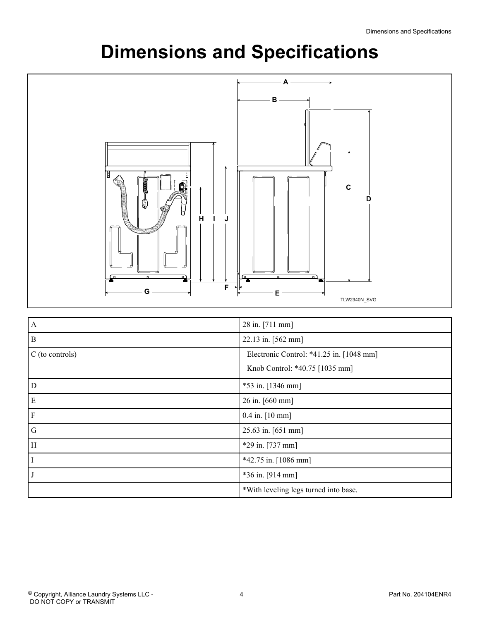## **Dimensions and Specifications**

<span id="page-3-0"></span>

| $\overline{A}$    | 28 in. [711 mm]                          |  |
|-------------------|------------------------------------------|--|
| $\, {\bf B}$      | 22.13 in. [562 mm]                       |  |
| $C$ (to controls) | Electronic Control: *41.25 in. [1048 mm] |  |
|                   | Knob Control: *40.75 [1035 mm]           |  |
| D                 | $*53$ in. [1346 mm]                      |  |
| E                 | 26 in. [660 mm]                          |  |
| $\mathbf F$       | $0.4$ in. $[10$ mm]                      |  |
| G                 | 25.63 in. [651 mm]                       |  |
| H                 | $*29$ in. [737 mm]                       |  |
|                   | $*42.75$ in. [1086 mm]                   |  |
|                   | $*36$ in. [914 mm]                       |  |
|                   | *With leveling legs turned into base.    |  |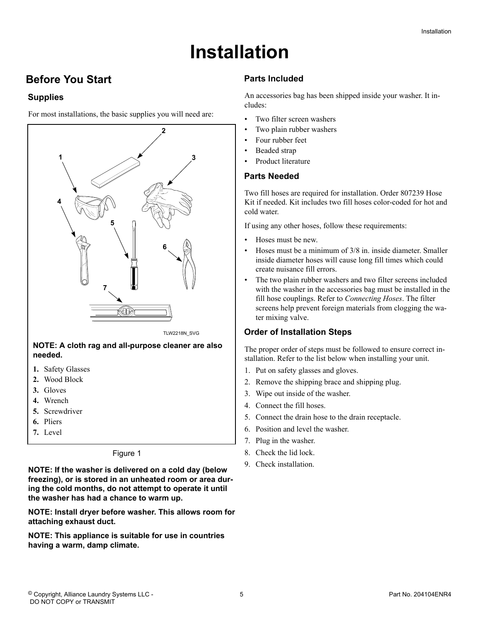## **Installation**

## <span id="page-4-0"></span> **Before You Start**

#### **Supplies**

For most installations, the basic supplies you will need are:



- **3.** Gloves
- **4.** Wrench
- **5.** Screwdriver
- **6.** Pliers
- **7.** Level

#### Figure 1

**NOTE: If the washer is delivered on a cold day (below freezing), or is stored in an unheated room or area during the cold months, do not attempt to operate it until the washer has had a chance to warm up.**

**NOTE: Install dryer before washer. This allows room for attaching exhaust duct.**

**NOTE: This appliance is suitable for use in countries having a warm, damp climate.**

#### **Parts Included**

An accessories bag has been shipped inside your washer. It includes:

- Two filter screen washers
- Two plain rubber washers
- Four rubber feet
- Beaded strap
- Product literature

#### **Parts Needed**

Two fill hoses are required for installation. Order 807239 Hose Kit if needed. Kit includes two fill hoses color-coded for hot and cold water.

If using any other hoses, follow these requirements:

- Hoses must be new.
- Hoses must be a minimum of 3/8 in. inside diameter. Smaller inside diameter hoses will cause long fill times which could create nuisance fill errors.
- The two plain rubber washers and two filter screens included with the washer in the accessories bag must be installed in the fill hose couplings. Refer to *[Connecting Hoses](#page-6-0)*. The filter screens help prevent foreign materials from clogging the water mixing valve.

#### **Order of Installation Steps**

The proper order of steps must be followed to ensure correct installation. Refer to the list below when installing your unit.

- 1. Put on safety glasses and gloves.
- 2. Remove the shipping brace and shipping plug.
- 3. Wipe out inside of the washer.
- 4. Connect the fill hoses.
- 5. Connect the drain hose to the drain receptacle.
- 6. Position and level the washer.
- 7. Plug in the washer.
- 8. Check the lid lock.
- 9. Check installation.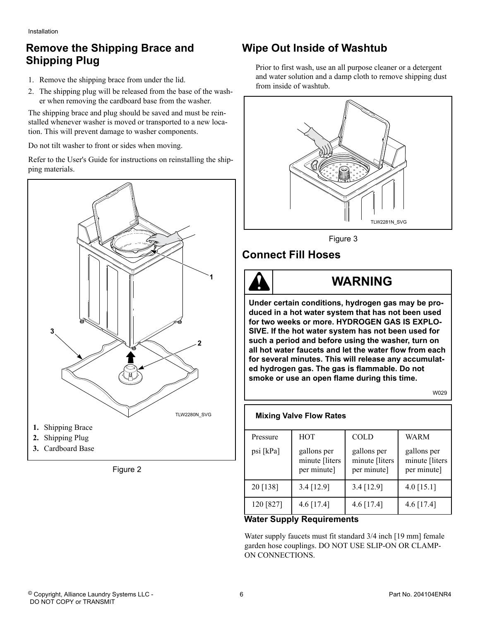## <span id="page-5-0"></span>**Remove the Shipping Brace and Shipping Plug**

- 1. Remove the shipping brace from under the lid.
- 2. The shipping plug will be released from the base of the washer when removing the cardboard base from the washer.

The shipping brace and plug should be saved and must be reinstalled whenever washer is moved or transported to a new location. This will prevent damage to washer components.

Do not tilt washer to front or sides when moving.

Refer to the User's Guide for instructions on reinstalling the shipping materials.



Figure 2

## **Wipe Out Inside of Washtub**

Prior to first wash, use an all purpose cleaner or a detergent and water solution and a damp cloth to remove shipping dust from inside of washtub.



Figure 3

## **Connect Fill Hoses**



## **WARNING**

**Under certain conditions, hydrogen gas may be produced in a hot water system that has not been used for two weeks or more. HYDROGEN GAS IS EXPLO-SIVE. If the hot water system has not been used for such a period and before using the washer, turn on all hot water faucets and let the water flow from each for several minutes. This will release any accumulated hydrogen gas. The gas is flammable. Do not smoke or use an open flame during this time.**

W029

| <b>Mixing Valve Flow Rates</b> |                                              |                                              |                                              |  |  |  |  |
|--------------------------------|----------------------------------------------|----------------------------------------------|----------------------------------------------|--|--|--|--|
| Pressure                       | <b>HOT</b>                                   | <b>COLD</b>                                  | WARM                                         |  |  |  |  |
| psi [kPa]                      | gallons per<br>minute [liters<br>per minute] | gallons per<br>minute [liters<br>per minute] | gallons per<br>minute [liters<br>per minute] |  |  |  |  |
| 20 [138]                       | 3.4 [12.9]                                   | 3.4 [12.9]                                   | $4.0$ [15.1]                                 |  |  |  |  |
| 120 [827]                      | 4.6 [17.4]                                   | 4.6 [17.4]                                   | $4.6$ [17.4]                                 |  |  |  |  |

#### **Water Supply Requirements**

Water supply faucets must fit standard 3/4 inch [19 mm] female garden hose couplings. DO NOT USE SLIP-ON OR CLAMP-ON CONNECTIONS.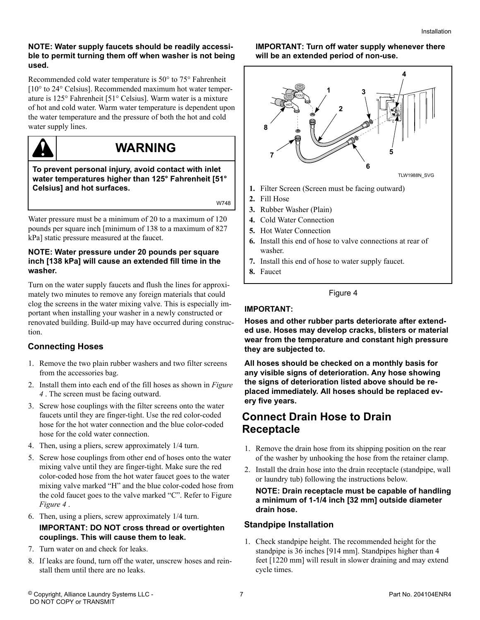#### <span id="page-6-0"></span>**NOTE: Water supply faucets should be readily accessible to permit turning them off when washer is not being used.**

Recommended cold water temperature is 50° to 75° Fahrenheit [10° to 24° Celsius]. Recommended maximum hot water temperature is 125° Fahrenheit [51° Celsius]. Warm water is a mixture of hot and cold water. Warm water temperature is dependent upon the water temperature and the pressure of both the hot and cold water supply lines.



## **WARNING**

**To prevent personal injury, avoid contact with inlet water temperatures higher than 125° Fahrenheit [51° Celsius] and hot surfaces.**

W748

Water pressure must be a minimum of 20 to a maximum of 120 pounds per square inch [minimum of 138 to a maximum of 827 kPa] static pressure measured at the faucet.

#### **NOTE: Water pressure under 20 pounds per square inch [138 kPa] will cause an extended fill time in the washer.**

Turn on the water supply faucets and flush the lines for approximately two minutes to remove any foreign materials that could clog the screens in the water mixing valve. This is especially important when installing your washer in a newly constructed or renovated building. Build-up may have occurred during construction.

#### **Connecting Hoses**

- 1. Remove the two plain rubber washers and two filter screens from the accessories bag.
- 2. Install them into each end of the fill hoses as shown in *Figure 4* . The screen must be facing outward.
- 3. Screw hose couplings with the filter screens onto the water faucets until they are finger-tight. Use the red color-coded hose for the hot water connection and the blue color-coded hose for the cold water connection.
- 4. Then, using a pliers, screw approximately 1/4 turn.
- 5. Screw hose couplings from other end of hoses onto the water mixing valve until they are finger-tight. Make sure the red color-coded hose from the hot water faucet goes to the water mixing valve marked "H" and the blue color-coded hose from the cold faucet goes to the valve marked "C". Refer to Figure *Figure 4* .
- 6. Then, using a pliers, screw approximately 1/4 turn.

#### **IMPORTANT: DO NOT cross thread or overtighten couplings. This will cause them to leak.**

- 7. Turn water on and check for leaks.
- 8. If leaks are found, turn off the water, unscrew hoses and reinstall them until there are no leaks.

**IMPORTANT: Turn off water supply whenever there will be an extended period of non-use.**



- **2.** Fill Hose
- **3.** Rubber Washer (Plain)
- **4.** Cold Water Connection
- **5.** Hot Water Connection
- **6.** Install this end of hose to valve connections at rear of washer.
- **7.** Install this end of hose to water supply faucet.
- **8.** Faucet

#### Figure 4

#### **IMPORTANT:**

**Hoses and other rubber parts deteriorate after extended use. Hoses may develop cracks, blisters or material wear from the temperature and constant high pressure they are subjected to.**

**All hoses should be checked on a monthly basis for any visible signs of deterioration. Any hose showing the signs of deterioration listed above should be replaced immediately. All hoses should be replaced every five years.**

### **Connect Drain Hose to Drain Receptacle**

- 1. Remove the drain hose from its shipping position on the rear of the washer by unhooking the hose from the retainer clamp.
- 2. Install the drain hose into the drain receptacle (standpipe, wall or laundry tub) following the instructions below.

#### **NOTE: Drain receptacle must be capable of handling a minimum of 1-1/4 inch [32 mm] outside diameter drain hose.**

#### **Standpipe Installation**

1. Check standpipe height. The recommended height for the standpipe is 36 inches [914 mm]. Standpipes higher than 4 feet [1220 mm] will result in slower draining and may extend cycle times.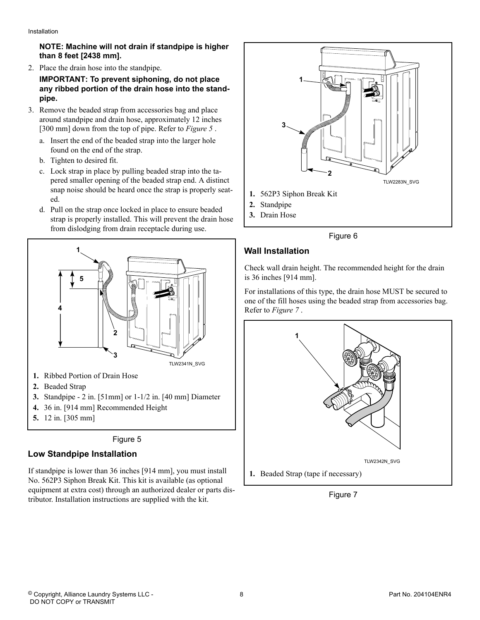#### <span id="page-7-0"></span>**NOTE: Machine will not drain if standpipe is higher than 8 feet [2438 mm].**

2. Place the drain hose into the standpipe.

#### **IMPORTANT: To prevent siphoning, do not place any ribbed portion of the drain hose into the standpipe.**

- 3. Remove the beaded strap from accessories bag and place around standpipe and drain hose, approximately 12 inches [300 mm] down from the top of pipe. Refer to *Figure 5* .
	- a. Insert the end of the beaded strap into the larger hole found on the end of the strap.
	- b. Tighten to desired fit.
	- c. Lock strap in place by pulling beaded strap into the tapered smaller opening of the beaded strap end. A distinct snap noise should be heard once the strap is properly seated.
	- d. Pull on the strap once locked in place to ensure beaded strap is properly installed. This will prevent the drain hose from dislodging from drain receptacle during use.





#### **Low Standpipe Installation**

If standpipe is lower than 36 inches [914 mm], you must install No. 562P3 Siphon Break Kit. This kit is available (as optional equipment at extra cost) through an authorized dealer or parts distributor. Installation instructions are supplied with the kit.



Figure 6

## **Wall Installation**

Check wall drain height. The recommended height for the drain is 36 inches [914 mm].

For installations of this type, the drain hose MUST be secured to one of the fill hoses using the beaded strap from accessories bag. Refer to *Figure 7* .



Figure 7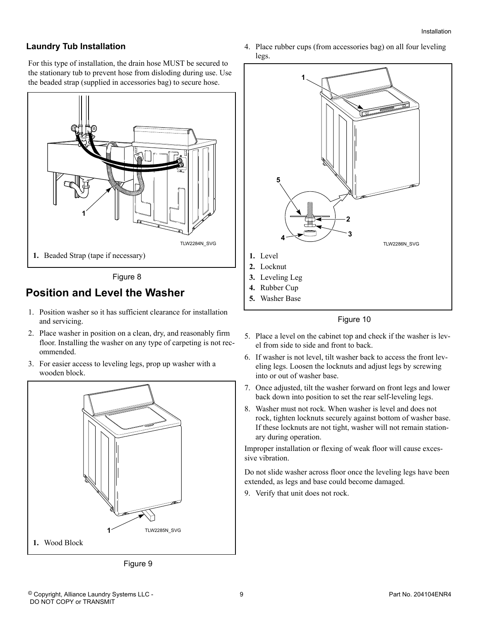#### <span id="page-8-0"></span>**Laundry Tub Installation**

For this type of installation, the drain hose MUST be secured to the stationary tub to prevent hose from disloding during use. Use the beaded strap (supplied in accessories bag) to secure hose.



Figure 8

### **Position and Level the Washer**

- 1. Position washer so it has sufficient clearance for installation and servicing.
- 2. Place washer in position on a clean, dry, and reasonably firm floor. Installing the washer on any type of carpeting is not recommended.
- 3. For easier access to leveling legs, prop up washer with a wooden block.





4. Place rubber cups (from accessories bag) on all four leveling legs.



Figure 10

- 5. Place a level on the cabinet top and check if the washer is level from side to side and front to back.
- 6. If washer is not level, tilt washer back to access the front leveling legs. Loosen the locknuts and adjust legs by screwing into or out of washer base.
- 7. Once adjusted, tilt the washer forward on front legs and lower back down into position to set the rear self-leveling legs.
- 8. Washer must not rock. When washer is level and does not rock, tighten locknuts securely against bottom of washer base. If these locknuts are not tight, washer will not remain stationary during operation.

Improper installation or flexing of weak floor will cause excessive vibration.

Do not slide washer across floor once the leveling legs have been extended, as legs and base could become damaged.

9. Verify that unit does not rock.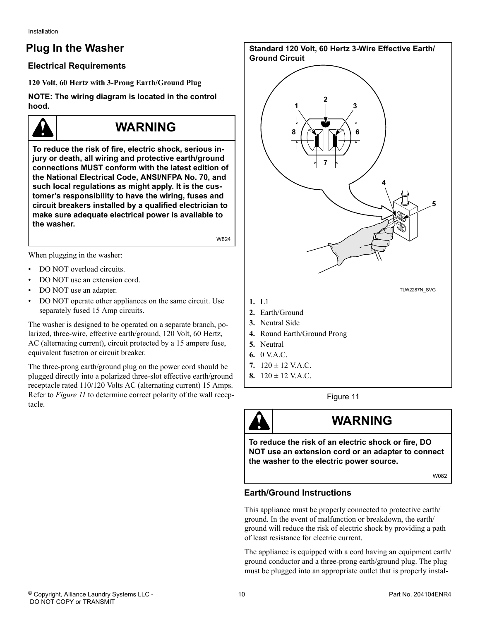<span id="page-9-0"></span>Installation

## **Plug In the Washer**

#### **Electrical Requirements**

**120 Volt, 60 Hertz with 3-Prong Earth/Ground Plug**

**NOTE: The wiring diagram is located in the control hood.**

## **WARNING**

**To reduce the risk of fire, electric shock, serious injury or death, all wiring and protective earth/ground connections MUST conform with the latest edition of the National Electrical Code, ANSI/NFPA No. 70, and such local regulations as might apply. It is the customer's responsibility to have the wiring, fuses and circuit breakers installed by a qualified electrician to make sure adequate electrical power is available to the washer.**

W824

When plugging in the washer:

- DO NOT overload circuits.
- DO NOT use an extension cord.
- DO NOT use an adapter.
- DO NOT operate other appliances on the same circuit. Use separately fused 15 Amp circuits.

The washer is designed to be operated on a separate branch, polarized, three-wire, effective earth/ground, 120 Volt, 60 Hertz, AC (alternating current), circuit protected by a 15 ampere fuse, equivalent fusetron or circuit breaker.

The three-prong earth/ground plug on the power cord should be plugged directly into a polarized three-slot effective earth/ground receptacle rated 110/120 Volts AC (alternating current) 15 Amps. Refer to *Figure 11* to determine correct polarity of the wall receptacle.

**Standard 120 Volt, 60 Hertz 3-Wire Effective Earth/ Ground Circuit** TLW2287N\_SVG **8 6 7 2 1 3 5 4 1.** L1

- **2.** Earth/Ground
- **3.** Neutral Side
- **4.** Round Earth/Ground Prong
- **5.** Neutral
- **6.** 0 V.A.C.
- **7.** 120 ± 12 V.A.C.
- **8.** 120 ± 12 V.A.C.

Figure 11



## **WARNING**

**To reduce the risk of an electric shock or fire, DO NOT use an extension cord or an adapter to connect the washer to the electric power source.**

W082

#### **Earth/Ground Instructions**

This appliance must be properly connected to protective earth/ ground. In the event of malfunction or breakdown, the earth/ ground will reduce the risk of electric shock by providing a path of least resistance for electric current.

The appliance is equipped with a cord having an equipment earth/ ground conductor and a three-prong earth/ground plug. The plug must be plugged into an appropriate outlet that is properly instal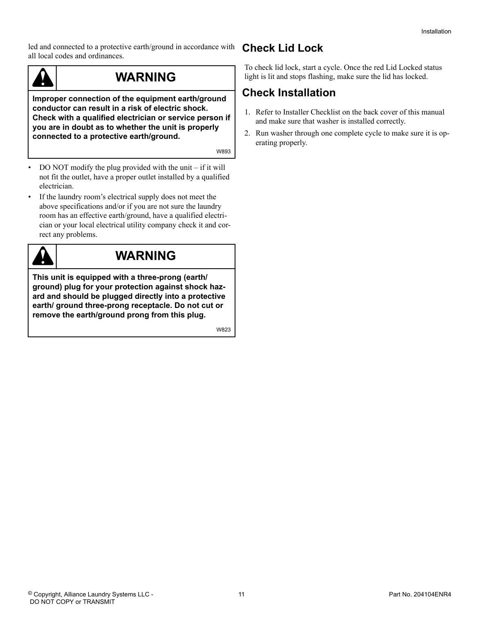<span id="page-10-0"></span>led and connected to a protective earth/ground in accordance with all local codes and ordinances.



## **WARNING**

**Improper connection of the equipment earth/ground conductor can result in a risk of electric shock. Check with a qualified electrician or service person if you are in doubt as to whether the unit is properly connected to a protective earth/ground.**

W893

- DO NOT modify the plug provided with the unit if it will not fit the outlet, have a proper outlet installed by a qualified electrician.
- If the laundry room's electrical supply does not meet the above specifications and/or if you are not sure the laundry room has an effective earth/ground, have a qualified electrician or your local electrical utility company check it and correct any problems.



## **WARNING**

**This unit is equipped with a three-prong (earth/ ground) plug for your protection against shock hazard and should be plugged directly into a protective earth/ ground three-prong receptacle. Do not cut or remove the earth/ground prong from this plug.**

W823

## **Check Lid Lock**

To check lid lock, start a cycle. Once the red Lid Locked status light is lit and stops flashing, make sure the lid has locked.

## **Check Installation**

- 1. Refer to Installer Checklist on the back cover of this manual and make sure that washer is installed correctly.
- 2. Run washer through one complete cycle to make sure it is operating properly.